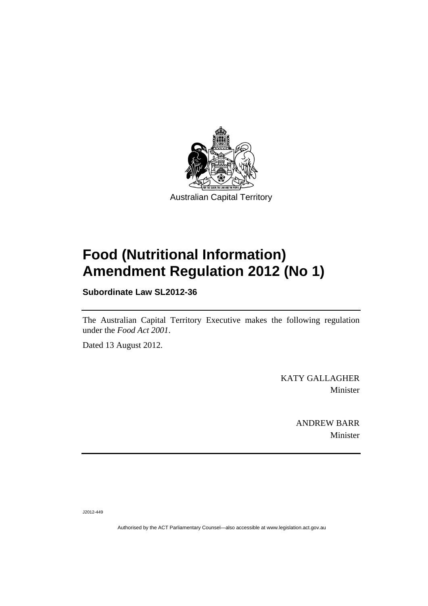

# **Food (Nutritional Information) Amendment Regulation 2012 (No 1)**

**Subordinate Law SL2012-36** 

The Australian Capital Territory Executive makes the following regulation under the *Food Act 2001*.

Dated 13 August 2012.

KATY GALLAGHER Minister

> ANDREW BARR Minister

J2012-449

Authorised by the ACT Parliamentary Counsel—also accessible at www.legislation.act.gov.au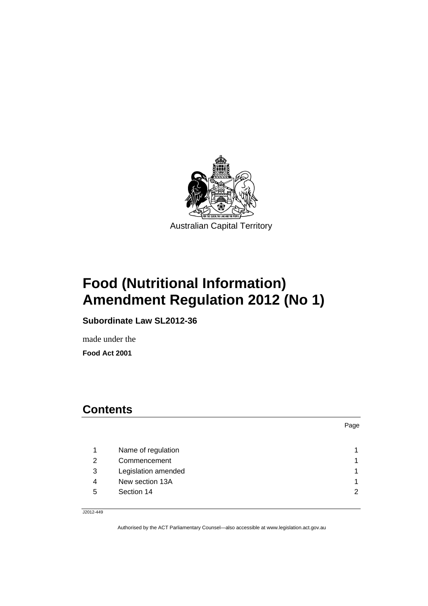

# **Food (Nutritional Information) Amendment Regulation 2012 (No 1)**

**Subordinate Law SL2012-36** 

made under the **Food Act 2001** 

## **Contents**

Page

| Name of regulation       |   |
|--------------------------|---|
| Commencement             |   |
| Legislation amended<br>3 |   |
| New section 13A<br>4     |   |
| Section 14<br>5          | C |
|                          |   |

J2012-449

Authorised by the ACT Parliamentary Counsel—also accessible at www.legislation.act.gov.au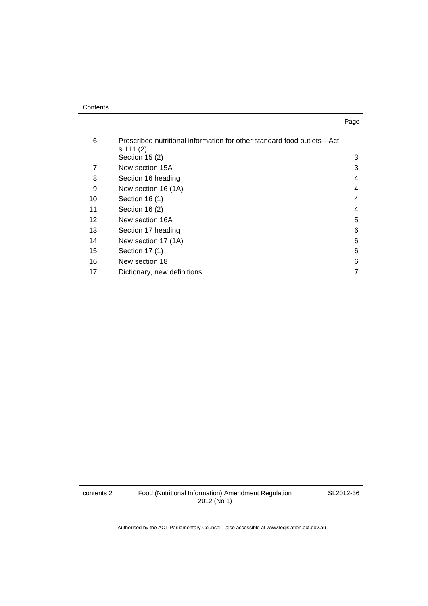| . .<br>× | ۰.<br>× |
|----------|---------|

| 6  | Prescribed nutritional information for other standard food outlets—Act,<br>s 111 (2) |   |
|----|--------------------------------------------------------------------------------------|---|
|    | Section 15 (2)                                                                       | 3 |
|    | New section 15A                                                                      | 3 |
| 8  | Section 16 heading                                                                   | 4 |
| 9  | New section 16 (1A)                                                                  | 4 |
| 10 | Section 16 (1)                                                                       | 4 |
| 11 | Section 16 (2)                                                                       | 4 |
| 12 | New section 16A                                                                      | 5 |
| 13 | Section 17 heading                                                                   | 6 |
| 14 | New section 17 (1A)                                                                  | 6 |
| 15 | Section 17 (1)                                                                       | 6 |
| 16 | New section 18                                                                       | 6 |
| 17 | Dictionary, new definitions                                                          | 7 |

contents 2 Food (Nutritional Information) Amendment Regulation 2012 (No 1)

SL2012-36

Authorised by the ACT Parliamentary Counsel—also accessible at www.legislation.act.gov.au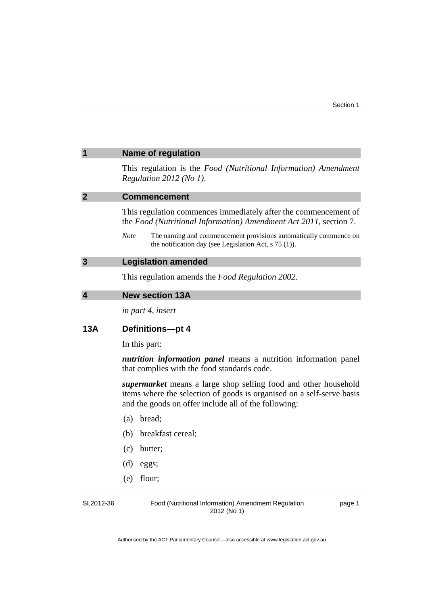<span id="page-4-3"></span><span id="page-4-2"></span><span id="page-4-1"></span><span id="page-4-0"></span>

|                         | <b>Name of regulation</b>                                                                                                                                                                               |
|-------------------------|---------------------------------------------------------------------------------------------------------------------------------------------------------------------------------------------------------|
|                         | This regulation is the Food (Nutritional Information) Amendment<br>Regulation 2012 (No 1).                                                                                                              |
| $\overline{2}$          | <b>Commencement</b>                                                                                                                                                                                     |
|                         | This regulation commences immediately after the commencement of<br>the Food (Nutritional Information) Amendment Act 2011, section 7.                                                                    |
|                         | <b>Note</b><br>The naming and commencement provisions automatically commence on<br>the notification day (see Legislation Act, $s$ 75 (1)).                                                              |
| $\mathbf{3}$            | <b>Legislation amended</b>                                                                                                                                                                              |
|                         | This regulation amends the Food Regulation 2002.                                                                                                                                                        |
| $\overline{\mathbf{4}}$ | <b>New section 13A</b>                                                                                                                                                                                  |
|                         | in part 4, insert                                                                                                                                                                                       |
|                         |                                                                                                                                                                                                         |
| 13A                     | Definitions-pt 4                                                                                                                                                                                        |
|                         | In this part:                                                                                                                                                                                           |
|                         | <i>nutrition information panel</i> means a nutrition information panel<br>that complies with the food standards code.                                                                                   |
|                         | <i>supermarket</i> means a large shop selling food and other household<br>items where the selection of goods is organised on a self-serve basis<br>and the goods on offer include all of the following: |
|                         | bread;<br>(a)                                                                                                                                                                                           |
|                         | breakfast cereal;<br>(b)                                                                                                                                                                                |
|                         | (c)<br>butter;                                                                                                                                                                                          |
|                         | (d)<br>eggs;                                                                                                                                                                                            |

SL2012-36

Food (Nutritional Information) Amendment Regulation 2012 (No 1)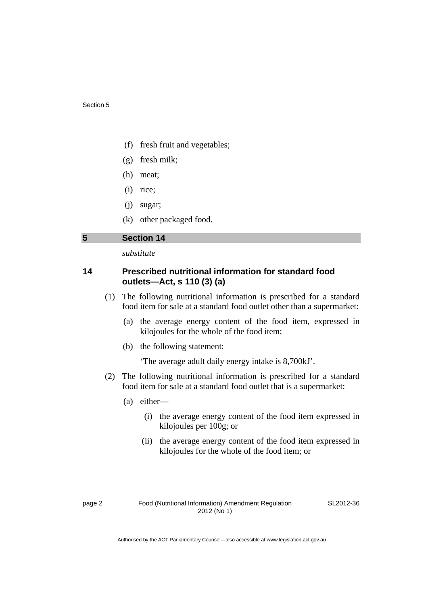- (f) fresh fruit and vegetables;
- (g) fresh milk;
- (h) meat;
- (i) rice;
- (j) sugar;
- (k) other packaged food.

### <span id="page-5-0"></span>**5 Section 14**

*substitute* 

### **14 Prescribed nutritional information for standard food outlets—Act, s 110 (3) (a)**

- (1) The following nutritional information is prescribed for a standard food item for sale at a standard food outlet other than a supermarket:
	- (a) the average energy content of the food item, expressed in kilojoules for the whole of the food item;
	- (b) the following statement:

'The average adult daily energy intake is 8,700kJ'.

- (2) The following nutritional information is prescribed for a standard food item for sale at a standard food outlet that is a supermarket:
	- (a) either—
		- (i) the average energy content of the food item expressed in kilojoules per 100g; or
		- (ii) the average energy content of the food item expressed in kilojoules for the whole of the food item; or

SL2012-36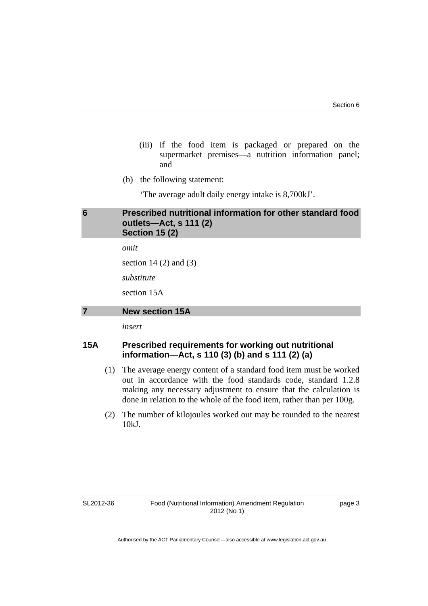- (iii) if the food item is packaged or prepared on the supermarket premises—a nutrition information panel; and
- (b) the following statement:

'The average adult daily energy intake is 8,700kJ'.

### <span id="page-6-0"></span>**6 Prescribed nutritional information for other standard food outlets—Act, s 111 (2) Section 15 (2)**

*omit* 

section  $14(2)$  and  $(3)$ 

*substitute* 

section 15A

### <span id="page-6-1"></span>**7 New section 15A**

*insert* 

### **15A Prescribed requirements for working out nutritional information—Act, s 110 (3) (b) and s 111 (2) (a)**

- (1) The average energy content of a standard food item must be worked out in accordance with the food standards code, standard 1.2.8 making any necessary adjustment to ensure that the calculation is done in relation to the whole of the food item, rather than per 100g.
- (2) The number of kilojoules worked out may be rounded to the nearest 10kJ.

SL2012-36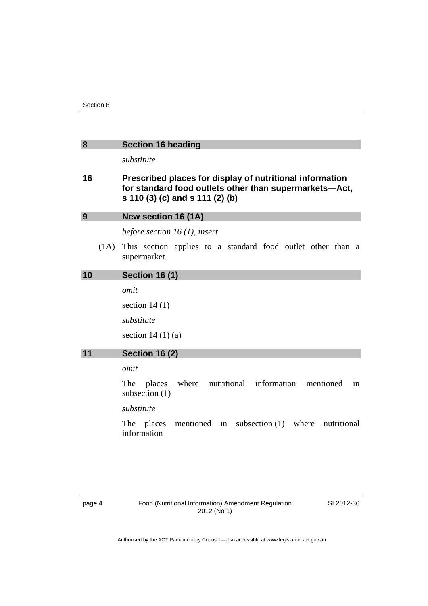<span id="page-7-0"></span>

| 8 | <b>Section 16 heading</b> |
|---|---------------------------|
|---|---------------------------|

*substitute* 

### **16 Prescribed places for display of nutritional information for standard food outlets other than supermarkets—Act, s 110 (3) (c) and s 111 (2) (b)**

<span id="page-7-2"></span><span id="page-7-1"></span>

| 9  | New section 16 (1A)                                                              |
|----|----------------------------------------------------------------------------------|
|    | before section 16 $(1)$ , insert                                                 |
|    | (1A) This section applies to a standard food outlet other than a<br>supermarket. |
| 10 | <b>Section 16 (1)</b>                                                            |
|    | omit                                                                             |

section 14 (1) *substitute*  section  $14(1)(a)$ 

### <span id="page-7-3"></span>**11 Section 16 (2)**

*omit* 

The places where nutritional information mentioned in subsection (1)

*substitute* 

The places mentioned in subsection (1) where nutritional information

SL2012-36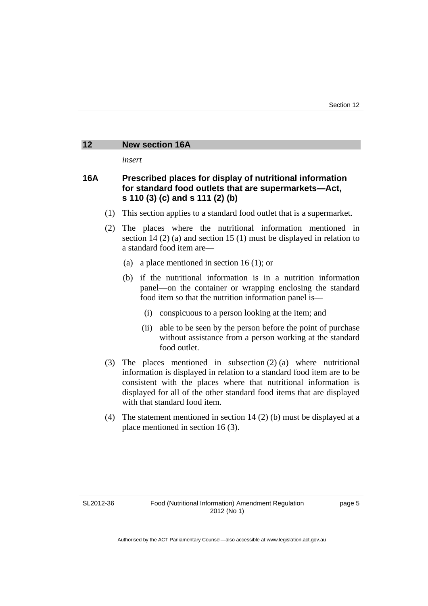### <span id="page-8-0"></span>**12 New section 16A**

*insert* 

### **16A Prescribed places for display of nutritional information for standard food outlets that are supermarkets—Act, s 110 (3) (c) and s 111 (2) (b)**

- (1) This section applies to a standard food outlet that is a supermarket.
- (2) The places where the nutritional information mentioned in section 14 (2) (a) and section 15 (1) must be displayed in relation to a standard food item are—
	- (a) a place mentioned in section 16 (1); or
	- (b) if the nutritional information is in a nutrition information panel—on the container or wrapping enclosing the standard food item so that the nutrition information panel is—
		- (i) conspicuous to a person looking at the item; and
		- (ii) able to be seen by the person before the point of purchase without assistance from a person working at the standard food outlet.
- (3) The places mentioned in subsection (2) (a) where nutritional information is displayed in relation to a standard food item are to be consistent with the places where that nutritional information is displayed for all of the other standard food items that are displayed with that standard food item.
- (4) The statement mentioned in section 14 (2) (b) must be displayed at a place mentioned in section 16 (3).

SL2012-36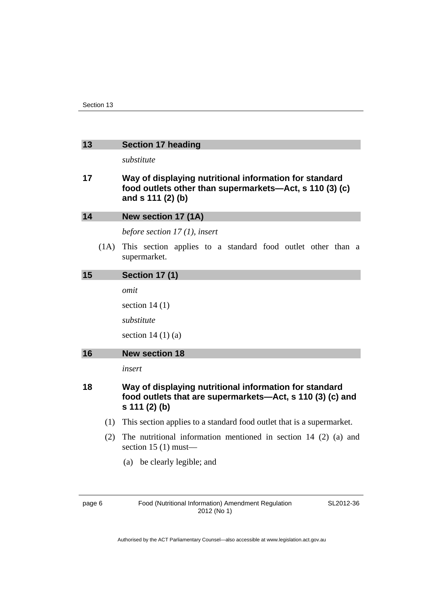### <span id="page-9-0"></span>**13 Section 17 heading**

*substitute* 

### **17 Way of displaying nutritional information for standard food outlets other than supermarkets—Act, s 110 (3) (c) and s 111 (2) (b)**

<span id="page-9-3"></span><span id="page-9-2"></span><span id="page-9-1"></span>

| 14 |      | New section 17 (1A)                                                                                                                  |
|----|------|--------------------------------------------------------------------------------------------------------------------------------------|
|    |      | before section $17(1)$ , insert                                                                                                      |
|    | (1A) | This section applies to a standard food outlet other than a<br>supermarket.                                                          |
| 15 |      | <b>Section 17 (1)</b>                                                                                                                |
|    |      | omit                                                                                                                                 |
|    |      | section $14(1)$                                                                                                                      |
|    |      | substitute                                                                                                                           |
|    |      | section $14(1)(a)$                                                                                                                   |
|    |      |                                                                                                                                      |
| 16 |      | <b>New section 18</b>                                                                                                                |
|    |      | insert                                                                                                                               |
| 18 |      | Way of displaying nutritional information for standard<br>food outlets that are supermarkets—Act, s 110 (3) (c) and<br>s 111 (2) (b) |
|    | (1)  | This section applies to a standard food outlet that is a supermarket.                                                                |
|    | (2)  | The nutritional information mentioned in section 14 $(2)$ (a) and<br>section $15(1)$ must—                                           |

SL2012-36